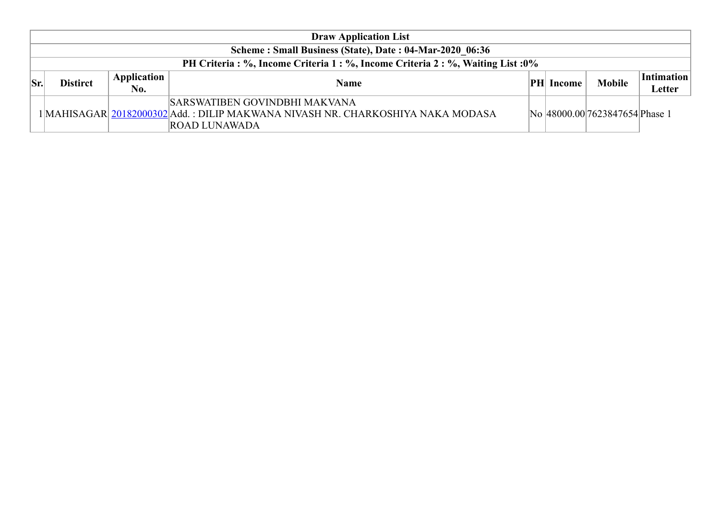|     |                 |                    | <b>Draw Application List</b>                                                                                                                  |    |        |                                |                             |
|-----|-----------------|--------------------|-----------------------------------------------------------------------------------------------------------------------------------------------|----|--------|--------------------------------|-----------------------------|
|     |                 |                    | Scheme: Small Business (State), Date: 04-Mar-2020 06:36                                                                                       |    |        |                                |                             |
|     |                 |                    | PH Criteria : %, Income Criteria 1 : %, Income Criteria 2 : %, Waiting List : 0%                                                              |    |        |                                |                             |
| Sr. | <b>Distirct</b> | Application<br>No. | <b>Name</b>                                                                                                                                   | PH | Income | <b>Mobile</b>                  | <b>Intimation</b><br>Letter |
|     |                 |                    | SARSWATIBEN GOVINDBHI MAKVANA<br>1   MAHISAGAR   20182000302   Add.: DILIP MAKWANA NIVASH NR. CHARKOSHIYA NAKA MODASA<br><b>ROAD LUNAWADA</b> |    |        | No 48000.00 7623847654 Phase 1 |                             |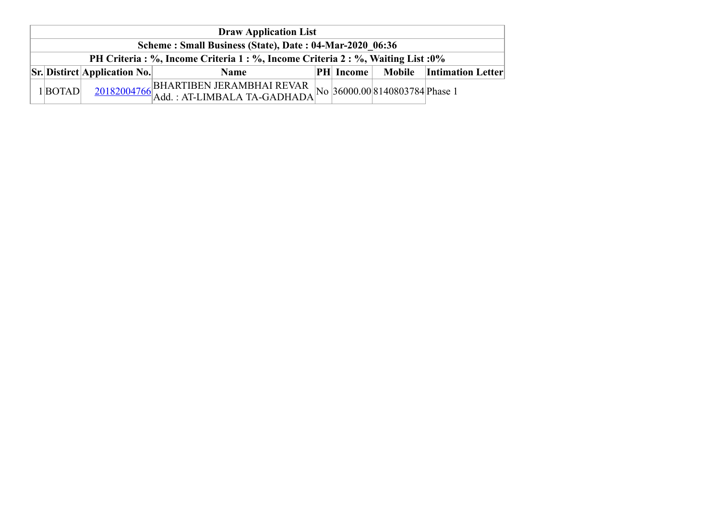| <b>Draw Application List</b>                            |                                     |                                                                                  |  |                  |                                |                          |  |  |
|---------------------------------------------------------|-------------------------------------|----------------------------------------------------------------------------------|--|------------------|--------------------------------|--------------------------|--|--|
| Scheme: Small Business (State), Date: 04-Mar-2020 06:36 |                                     |                                                                                  |  |                  |                                |                          |  |  |
|                                                         |                                     | PH Criteria : %, Income Criteria 1 : %, Income Criteria 2 : %, Waiting List : 0% |  |                  |                                |                          |  |  |
|                                                         | <b>Sr.</b> Distirct Application No. | <b>Name</b>                                                                      |  | <b>PH</b> Income |                                | Mobile Intimation Letter |  |  |
| $1 $ <b>BOTAD</b>                                       |                                     | $\frac{20182004766}{\text{Add.}: \text{AT-LIMBALA TA-GADHADA}}$                  |  |                  | No 36000.00 8140803784 Phase 1 |                          |  |  |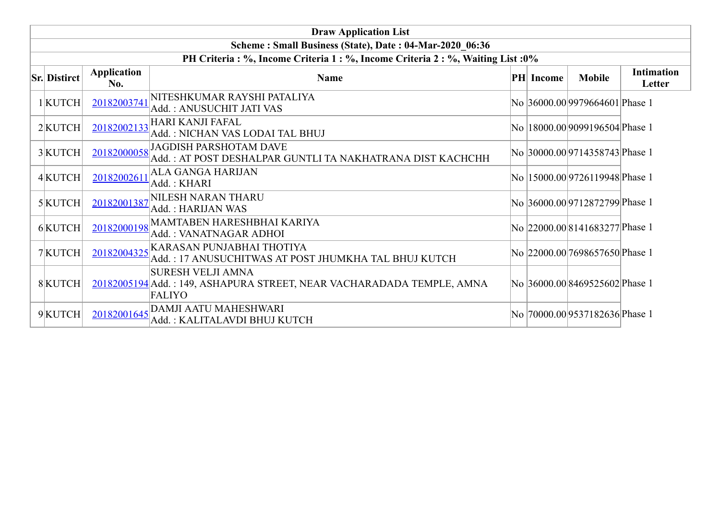|                     |                           | <b>Draw Application List</b>                                                                                       |           |                                 |                             |
|---------------------|---------------------------|--------------------------------------------------------------------------------------------------------------------|-----------|---------------------------------|-----------------------------|
|                     |                           | Scheme: Small Business (State), Date: 04-Mar-2020 06:36                                                            |           |                                 |                             |
|                     |                           | PH Criteria : %, Income Criteria 1 : %, Income Criteria 2 : %, Waiting List : 0%                                   |           |                                 |                             |
| <b>Sr. Distirct</b> | <b>Application</b><br>No. | <b>Name</b>                                                                                                        | PH Income | <b>Mobile</b>                   | <b>Intimation</b><br>Letter |
| $1$ KUTCH           | 20182003741               | NITESHKUMAR RAYSHI PATALIYA<br>Add.: ANUSUCHIT JATI VAS                                                            |           | No 36000.00 9979664601 Phase 1  |                             |
| $2$ KUTCH           | 20182002133               | <b>HARI KANJI FAFAL</b><br>Add.: NICHAN VAS LODAI TAL BHUJ                                                         |           | No  18000.00 9099196504 Phase 1 |                             |
| 3KUTCH              | 20182000058               | <b>JAGDISH PARSHOTAM DAVE</b><br>Add.: AT POST DESHALPAR GUNTLI TA NAKHATRANA DIST KACHCHH                         |           | No 30000.00 9714358743 Phase 1  |                             |
| 4 KUTCH             | 20182002611               | ALA GANGA HARIJAN<br>Add.: KHARI                                                                                   |           | No  15000.00 9726119948 Phase 1 |                             |
| $5$ KUTCH           | 20182001387               | NILESH NARAN THARU<br>Add.: HARIJAN WAS                                                                            |           | No 36000.00 9712872799 Phase 1  |                             |
| 6KUTCH              | 20182000198               | MAMTABEN HARESHBHAI KARIYA<br>Add.: VANATNAGAR ADHOI                                                               |           | No 22000.00 8141683277 Phase 1  |                             |
| 7KUTCH              | 20182004325               | KARASAN PUNJABHAI THOTIYA<br>Add.: 17 ANUSUCHITWAS AT POST JHUMKHA TAL BHUJ KUTCH                                  |           | No 22000.00 7698657650 Phase 1  |                             |
| 8KUTCH              |                           | <b>SURESH VELJI AMNA</b><br>20182005194 Add.: 149, ASHAPURA STREET, NEAR VACHARADADA TEMPLE, AMNA<br><b>FALIYO</b> |           | No 36000.00 8469525602 Phase 1  |                             |
| 9KUTCH              | 20182001645               | DAMJI AATU MAHESHWARI<br>Add.: KALITALAVDI BHUJ KUTCH                                                              |           | No 70000.00 9537182636 Phase 1  |                             |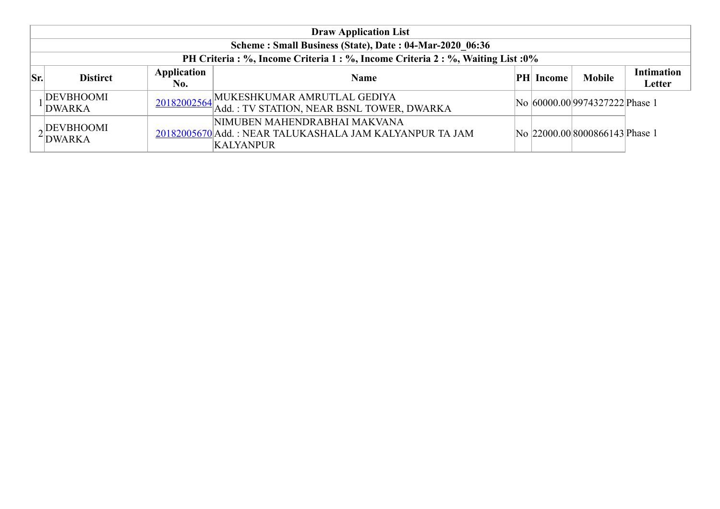|     |                                   |                    | <b>Draw Application List</b>                                                                                |                  |                                |                             |
|-----|-----------------------------------|--------------------|-------------------------------------------------------------------------------------------------------------|------------------|--------------------------------|-----------------------------|
|     |                                   |                    | Scheme: Small Business (State), Date: 04-Mar-2020 06:36                                                     |                  |                                |                             |
|     |                                   |                    | PH Criteria : %, Income Criteria 1 : %, Income Criteria 2 : %, Waiting List : 0%                            |                  |                                |                             |
| Sr. | <b>Distirct</b>                   | Application<br>No. | <b>Name</b>                                                                                                 | <b>PH</b> Income | <b>Mobile</b>                  | <b>Intimation</b><br>Letter |
|     | DEVBHOOMI<br><b>DWARKA</b>        |                    | 20182002564 MUKESHKUMAR AMRUTLAL GEDIYA<br>Add.: TV STATION, NEAR BSNL TOWER, DWARKA                        |                  | No 60000.00 9974327222 Phase 1 |                             |
|     | <b>DEVBHOOMI</b><br><b>DWARKA</b> |                    | NIMUBEN MAHENDRABHAI MAKVANA<br>20182005670 Add.: NEAR TALUKASHALA JAM KALYANPUR TA JAM<br><b>KALYANPUR</b> |                  | No 22000.00 8000866143 Phase 1 |                             |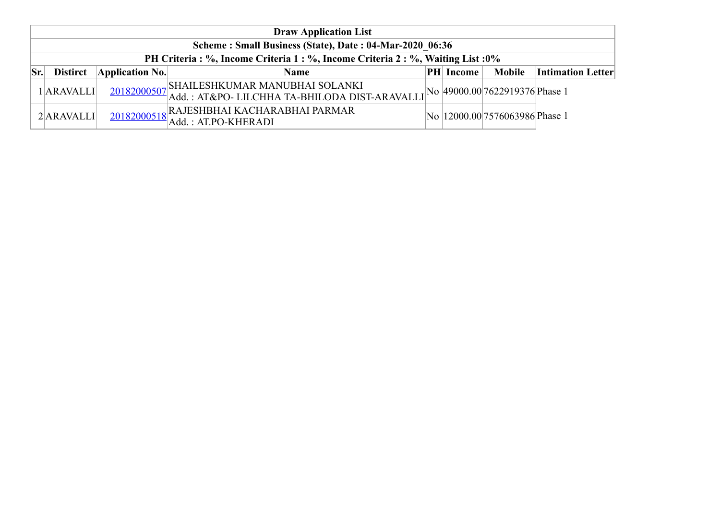|     | <b>Draw Application List</b> |                                                         |                                                                                                                                        |  |                  |                                 |                          |  |  |  |
|-----|------------------------------|---------------------------------------------------------|----------------------------------------------------------------------------------------------------------------------------------------|--|------------------|---------------------------------|--------------------------|--|--|--|
|     |                              | Scheme: Small Business (State), Date: 04-Mar-2020 06:36 |                                                                                                                                        |  |                  |                                 |                          |  |  |  |
|     |                              |                                                         | PH Criteria : %, Income Criteria 1 : %, Income Criteria 2 : %, Waiting List : 0%                                                       |  |                  |                                 |                          |  |  |  |
| Sr. | <b>Distirct</b>              | $\Delta$ pplication No.                                 | <b>Name</b>                                                                                                                            |  | <b>PH</b> Income | Mobile                          | <b>Intimation Letter</b> |  |  |  |
|     | 1ARAVALLI                    |                                                         | 20182000507 SHAILESHKUMAR MANUBHAI SOLANKI<br>20182000507 Add.: AT&PO- LILCHHA TA-BHILODA DIST-ARAVALLI No 49000.00 7622919376 Phase 1 |  |                  |                                 |                          |  |  |  |
|     | $2$ ARAVALLI                 |                                                         | 20182000518 RAJESHBHAI KACHARABHAI PARMAR<br>Add. : AT.PO-KHERADI                                                                      |  |                  | No  12000.00 7576063986 Phase 1 |                          |  |  |  |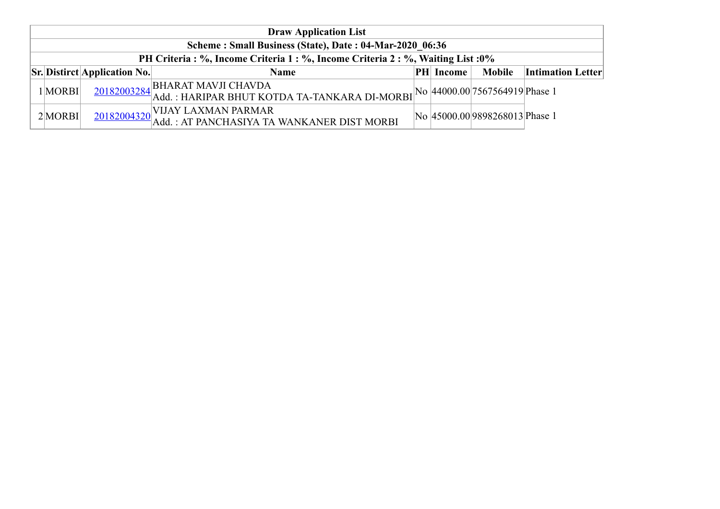|                                                         |                                     | <b>Draw Application List</b>                                                                                                                    |  |           |                                |                          |
|---------------------------------------------------------|-------------------------------------|-------------------------------------------------------------------------------------------------------------------------------------------------|--|-----------|--------------------------------|--------------------------|
| Scheme: Small Business (State), Date: 04-Mar-2020 06:36 |                                     |                                                                                                                                                 |  |           |                                |                          |
|                                                         |                                     | PH Criteria : %, Income Criteria 1 : %, Income Criteria 2 : %, Waiting List : 0%                                                                |  |           |                                |                          |
|                                                         | <b>Sr.</b> Distirct Application No. | <b>Name</b>                                                                                                                                     |  | PH Income | <b>Mobile</b>                  | <b>Intimation Letter</b> |
| $1$ MORBI                                               |                                     | $\frac{20182003284}{\text{Add.}: \text{HARIPAR BHUT KOTDA TA-TANKARA DI-MORBI}}\text{No} \cdot \text{44000.00} \Big  7567564919 \text{Phase 1}$ |  |           |                                |                          |
| $2$ MORBI                                               |                                     | 20182004320 VIJAY LAXMAN PARMAR<br> - 20182004320 Add. : AT PANCHASIYA TA WANKANER DIST MORBI                                                   |  |           | No 45000.00 9898268013 Phase 1 |                          |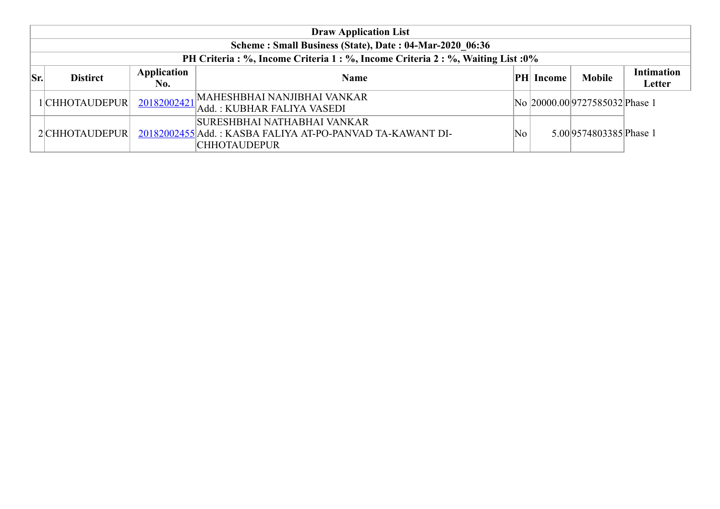|     |                 |                    | <b>Draw Application List</b>                                                                              |    |                  |                                |                             |
|-----|-----------------|--------------------|-----------------------------------------------------------------------------------------------------------|----|------------------|--------------------------------|-----------------------------|
|     |                 |                    | Scheme: Small Business (State), Date: 04-Mar-2020 06:36                                                   |    |                  |                                |                             |
|     |                 |                    | PH Criteria: %, Income Criteria 1: %, Income Criteria 2: %, Waiting List: 0%                              |    |                  |                                |                             |
| Sr. | <b>Distirct</b> | Application<br>No. | <b>Name</b>                                                                                               |    | <b>PH</b> Income | <b>Mobile</b>                  | <b>Intimation</b><br>Letter |
|     | 1CHHOTAUDEPUR   |                    | MAHESHBHAI NANJIBHAI VANKAR<br>20182002421 Add.: KUBHAR FALIYA VASEDI                                     |    |                  | No 20000.00 9727585032 Phase 1 |                             |
|     | 2 CHHOTAUDEPUR  |                    | SURESHBHAI NATHABHAI VANKAR<br>20182002455 Add.: KASBA FALIYA AT-PO-PANVAD TA-KAWANT DI-<br> CHHOTAUDEPUR | No |                  | 5.00 9574803385 Phase 1        |                             |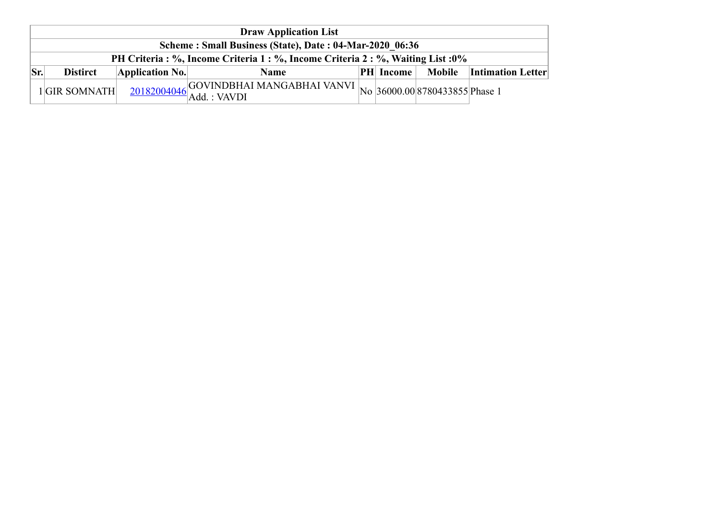|     | <b>Draw Application List</b>                            |                 |                                                                                                                                       |  |                  |  |                                 |  |  |  |
|-----|---------------------------------------------------------|-----------------|---------------------------------------------------------------------------------------------------------------------------------------|--|------------------|--|---------------------------------|--|--|--|
|     | Scheme: Small Business (State), Date: 04-Mar-2020 06:36 |                 |                                                                                                                                       |  |                  |  |                                 |  |  |  |
|     |                                                         |                 | PH Criteria : %, Income Criteria 1 : %, Income Criteria 2 : %, Waiting List : 0%                                                      |  |                  |  |                                 |  |  |  |
| Sr. | <b>Distirct</b>                                         | Application No. | Name                                                                                                                                  |  | <b>PH</b> Income |  | <b>Mobile</b> Intimation Letter |  |  |  |
|     | 1GIR SOMNATH                                            |                 | $\frac{20182004046}{\text{Add.}: \text{VAVDI}} \text{[Add.: VAVDI]} \text{[No]} \text{[36000.00]} \text{[8780433855]} \text{Phase 1}$ |  |                  |  |                                 |  |  |  |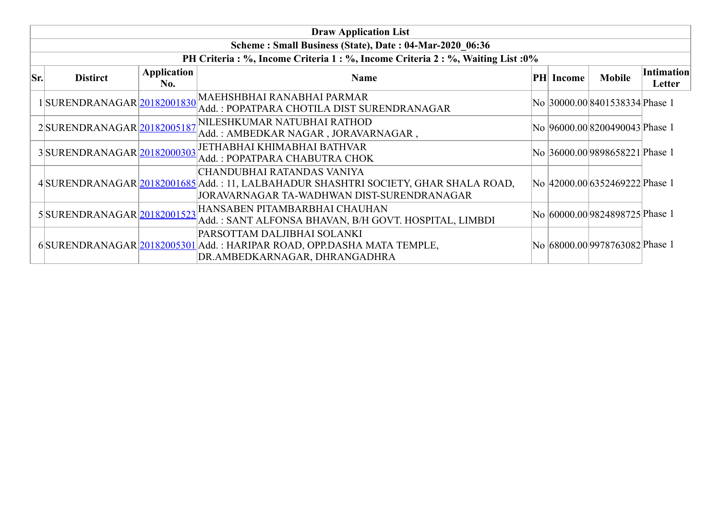|     | <b>Draw Application List</b> |                    |                                                                                                                                                                 |  |           |                                |                             |  |  |  |  |  |
|-----|------------------------------|--------------------|-----------------------------------------------------------------------------------------------------------------------------------------------------------------|--|-----------|--------------------------------|-----------------------------|--|--|--|--|--|
|     |                              |                    | Scheme: Small Business (State), Date: 04-Mar-2020 06:36                                                                                                         |  |           |                                |                             |  |  |  |  |  |
|     |                              |                    | PH Criteria : %, Income Criteria 1 : %, Income Criteria 2 : %, Waiting List : 0%                                                                                |  |           |                                |                             |  |  |  |  |  |
| Sr. | <b>Distirct</b>              | Application<br>No. | <b>Name</b>                                                                                                                                                     |  | PH Income | <b>Mobile</b>                  | <b>Intimation</b><br>Letter |  |  |  |  |  |
|     |                              |                    | 1 SURENDRANAGAR 20182001830 MAEHSHBHAI RANABHAI PARMAR<br>Add. : POPATPARA CHOTILA DIST SURENDRANAGAR                                                           |  |           | No 30000.00 8401538334 Phase 1 |                             |  |  |  |  |  |
|     |                              |                    | 2SURENDRANAGAR 20182005187 NILESHKUMAR NATUBHAI RATHOD<br>Add. : AMBEDKAR NAGAR , JORAVARNAGAR ,                                                                |  |           | No 96000.00 8200490043 Phase 1 |                             |  |  |  |  |  |
|     | 3SURENDRANAGAR 20182000303   |                    | <b>JETHABHAI KHIMABHAI BATHVAR</b><br>Add.: POPATPARA CHABUTRA CHOK                                                                                             |  |           | No 36000.00 9898658221 Phase 1 |                             |  |  |  |  |  |
|     |                              |                    | CHANDUBHAI RATANDAS VANIYA<br>4 SURENDRANAGAR 20182001685 Add.: 11, LALBAHADUR SHASHTRI SOCIETY, GHAR SHALA ROAD,<br>JORAVARNAGAR TA-WADHWAN DIST-SURENDRANAGAR |  |           | No 42000.00 6352469222 Phase 1 |                             |  |  |  |  |  |
|     |                              |                    | 5 SURENDRANAGAR 20182001523 HANSABEN PITAMBARBHAI CHAUHAN<br>Add.: SANT ALFONSA BHAVAN, B/H GOVT. HOSPITAL, LIMBDI                                              |  |           | No 60000.009824898725 Phase 1  |                             |  |  |  |  |  |
|     |                              |                    | PARSOTTAM DALJIBHAI SOLANKI<br>6SURENDRANAGAR 20182005301 Add.: HARIPAR ROAD, OPP.DASHA MATA TEMPLE,<br>DR.AMBEDKARNAGAR, DHRANGADHRA                           |  |           | No 68000.00 9978763082 Phase 1 |                             |  |  |  |  |  |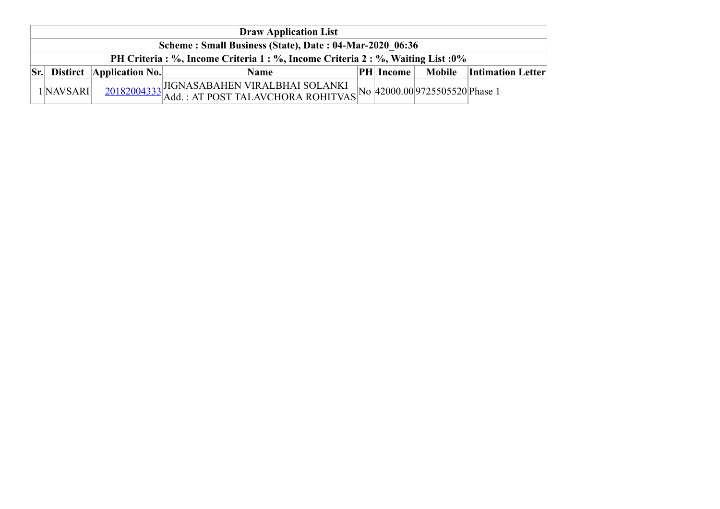| <b>Draw Application List</b>                            |                                        |                                                                                                                                            |  |                  |  |                          |  |  |
|---------------------------------------------------------|----------------------------------------|--------------------------------------------------------------------------------------------------------------------------------------------|--|------------------|--|--------------------------|--|--|
| Scheme: Small Business (State), Date: 04-Mar-2020 06:36 |                                        |                                                                                                                                            |  |                  |  |                          |  |  |
|                                                         |                                        | PH Criteria : %, Income Criteria 1 : %, Income Criteria 2 : %, Waiting List : 0%                                                           |  |                  |  |                          |  |  |
|                                                         | $\vert$ Sr. Distirct   Application No. | <b>Name</b>                                                                                                                                |  | <b>PH</b> Income |  | Mobile Intimation Letter |  |  |
| 1 NAVSARI                                               |                                        | $\frac{20182004333}{\text{Add.}: \text{AT POST TALAVCHORA ROHITVAS}}\n\text{No} \left  \frac{42000.00}{9725505520} \right  \text{Phase 1}$ |  |                  |  |                          |  |  |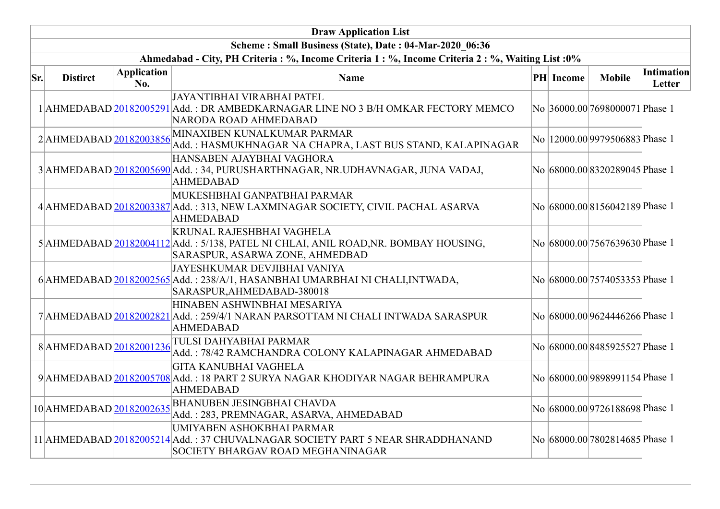|     |                          |                           | <b>Draw Application List</b>                                                                                                                               |           |                                  |                      |
|-----|--------------------------|---------------------------|------------------------------------------------------------------------------------------------------------------------------------------------------------|-----------|----------------------------------|----------------------|
|     |                          |                           | Scheme: Small Business (State), Date: 04-Mar-2020 06:36                                                                                                    |           |                                  |                      |
|     |                          |                           | Ahmedabad - City, PH Criteria : %, Income Criteria 1 : %, Income Criteria 2 : %, Waiting List : 0%                                                         |           |                                  |                      |
| Sr. | <b>Distirct</b>          | <b>Application</b><br>No. | <b>Name</b>                                                                                                                                                | PH Income | <b>Mobile</b>                    | Intimation<br>Letter |
|     |                          |                           | <b>JAYANTIBHAI VIRABHAI PATEL</b><br>1 AHMEDABAD 20182005291 Add.: DR AMBEDKARNAGAR LINE NO 3 B/H OMKAR FECTORY MEMCO<br>NARODA ROAD AHMEDABAD             |           | No 36000.00 7698000071 Phase 1   |                      |
|     | 2AHMEDABAD 20182003856   |                           | MINAXIBEN KUNALKUMAR PARMAR<br>Add.: HASMUKHNAGAR NA CHAPRA, LAST BUS STAND, KALAPINAGAR                                                                   |           | No   12000.00 9979506883 Phase 1 |                      |
|     |                          |                           | HANSABEN AJAYBHAI VAGHORA<br>3 AHMEDABAD 20182005690 Add.: 34, PURUSHARTHNAGAR, NR.UDHAVNAGAR, JUNA VADAJ,<br><b>AHMEDABAD</b>                             |           | No 68000.00 8320289045 Phase 1   |                      |
|     |                          |                           | MUKESHBHAI GANPATBHAI PARMAR<br>4 AHMEDABAD 20182003387 Add.: 313, NEW LAXMINAGAR SOCIETY, CIVIL PACHAL ASARVA<br><b>AHMEDABAD</b>                         |           | No 68000.00 8156042189 Phase 1   |                      |
|     |                          |                           | <b>KRUNAL RAJESHBHAI VAGHELA</b><br>5 AHMEDABAD 20182004112 Add.: 5/138, PATEL NI CHLAI, ANIL ROAD, NR. BOMBAY HOUSING,<br>SARASPUR, ASARWA ZONE, AHMEDBAD |           | No 68000.00 7567639630 Phase 1   |                      |
|     |                          |                           | <b>JAYESHKUMAR DEVJIBHAI VANIYA</b><br>6 AHMEDABAD 20182002565 Add.: 238/A/1, HASANBHAI UMARBHAI NI CHALI, INTWADA,<br>SARASPUR, AHMEDABAD-380018          |           | No 68000.00 7574053353 Phase 1   |                      |
|     |                          |                           | HINABEN ASHWINBHAI MESARIYA<br>7 AHMEDABAD 20182002821 Add.: 259/4/1 NARAN PARSOTTAM NI CHALI INTWADA SARASPUR<br><b>AHMEDABAD</b>                         |           | No 68000.00 9624446266 Phase 1   |                      |
|     | 8AHMEDABAD 20182001236   |                           | TULSI DAHYABHAI PARMAR<br>Add.: 78/42 RAMCHANDRA COLONY KALAPINAGAR AHMEDABAD                                                                              |           | No 68000.00 8485925527 Phase 1   |                      |
|     |                          |                           | <b>GITA KANUBHAI VAGHELA</b><br>9 AHMEDABAD 20182005708 Add.: 18 PART 2 SURYA NAGAR KHODIYAR NAGAR BEHRAMPURA<br><b>AHMEDABAD</b>                          |           | No 68000.00 9898991154 Phase 1   |                      |
|     | 10 AHMEDABAD 20182002635 |                           | <b>BHANUBEN JESINGBHAI CHAVDA</b><br>Add.: 283, PREMNAGAR, ASARVA, AHMEDABAD                                                                               |           | No 68000.00 9726188698 Phase 1   |                      |
|     |                          |                           | UMIYABEN ASHOKBHAI PARMAR<br>11 AHMEDABAD 20182005214 Add.: 37 CHUVALNAGAR SOCIETY PART 5 NEAR SHRADDHANAND<br>SOCIETY BHARGAV ROAD MEGHANINAGAR           |           | No 68000.00 7802814685 Phase 1   |                      |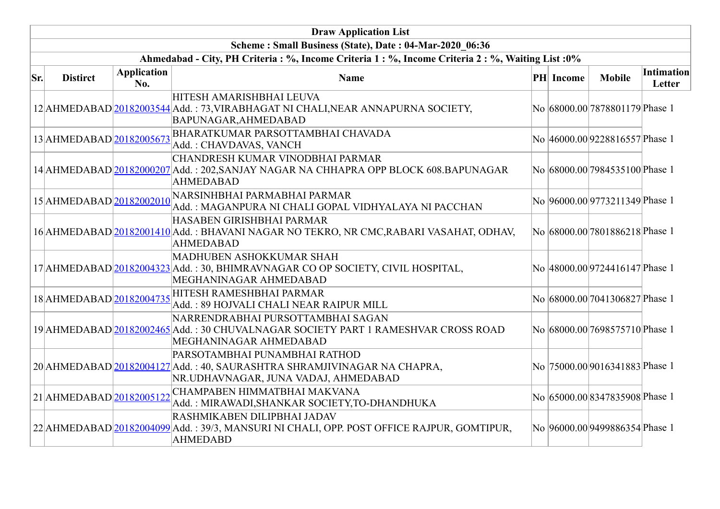|     |                          |                           | <b>Draw Application List</b>                                                                                                                       |           |                                 |                             |
|-----|--------------------------|---------------------------|----------------------------------------------------------------------------------------------------------------------------------------------------|-----------|---------------------------------|-----------------------------|
|     |                          |                           | Scheme: Small Business (State), Date: 04-Mar-2020 06:36                                                                                            |           |                                 |                             |
|     |                          |                           | Ahmedabad - City, PH Criteria : %, Income Criteria 1 : %, Income Criteria 2 : %, Waiting List : 0%                                                 |           |                                 |                             |
| Sr. | <b>Distirct</b>          | <b>Application</b><br>No. | <b>Name</b>                                                                                                                                        | PH Income | <b>Mobile</b>                   | <b>Intimation</b><br>Letter |
|     |                          |                           | HITESH AMARISHBHAI LEUVA<br>12 AHMEDABAD 20182003544 Add.: 73, VIRABHAGAT NI CHALI, NEAR ANNAPURNA SOCIETY,<br>BAPUNAGAR, AHMEDABAD                |           | No 68000.00 7878801179 Phase 1  |                             |
|     | 13 AHMEDABAD 20182005673 |                           | <b>BHARATKUMAR PARSOTTAMBHAI CHAVADA</b><br>Add.: CHAVDAVAS, VANCH                                                                                 |           | No 46000.00 9228816557 Phase 1  |                             |
|     |                          |                           | CHANDRESH KUMAR VINODBHAI PARMAR<br>14 AHMEDABAD 20182000207 Add.: 202, SANJAY NAGAR NA CHHAPRA OPP BLOCK 608. BAPUNAGAR<br><b>AHMEDABAD</b>       |           | No 68000.00 7984535100 Phase 1  |                             |
|     |                          |                           | 15 AHMEDABAD 20182002010 NARSINHBHAI PARMABHAI PARMAR<br>Add.: MAGANPURA NI CHALI GOPAL VIDHYALAYA NI PACCHAN                                      |           | No 96000.00 9773211349 Phase 1  |                             |
|     |                          |                           | HASABEN GIRISHBHAI PARMAR<br>16 AHMEDABAD 20182001410 Add.: BHAVANI NAGAR NO TEKRO, NR CMC, RABARI VASAHAT, ODHAV,<br><b>AHMEDABAD</b>             |           | No 68000.00 7801886218 Phase 1  |                             |
|     |                          |                           | MADHUBEN ASHOKKUMAR SHAH<br>17 AHMEDABAD 20182004323 Add.: 30, BHIMRAVNAGAR CO OP SOCIETY, CIVIL HOSPITAL,<br>MEGHANINAGAR AHMEDABAD               |           | No 48000.00 9724416147 Phase 1  |                             |
|     |                          |                           | $18$ AHMEDABAD $\sqrt{20182004735}$ HITESH RAMESHBHAI PARMAR<br>Add.: 89 HOJVALI CHALI NEAR RAIPUR MILL                                            |           | No 68000.00 7041306827 Phase 1  |                             |
|     |                          |                           | NARRENDRABHAI PURSOTTAMBHAI SAGAN<br>19 AHMEDABAD 20182002465 Add.: 30 CHUVALNAGAR SOCIETY PART 1 RAMESHVAR CROSS ROAD<br>MEGHANINAGAR AHMEDABAD   |           | No 68000.00 7698575710 Phase 1  |                             |
|     |                          |                           | PARSOTAMBHAI PUNAMBHAI RATHOD<br>20 AHMEDABAD 20182004127 Add.: 40, SAURASHTRA SHRAMJIVINAGAR NA CHAPRA,<br>NR.UDHAVNAGAR, JUNA VADAJ, AHMEDABAD   |           | No  75000.00 9016341883 Phase 1 |                             |
|     | 21 AHMEDABAD 20182005122 |                           | CHAMPABEN HIMMATBHAI MAKVANA<br>Add.: MIRAWADI, SHANKAR SOCIETY, TO-DHANDHUKA                                                                      |           | No 65000.00 8347835908 Phase 1  |                             |
|     |                          |                           | <b>RASHMIKABEN DILIPBHAI JADAV</b><br>22 AHMEDABAD 20182004099 Add.: 39/3, MANSURI NI CHALI, OPP. POST OFFICE RAJPUR, GOMTIPUR,<br><b>AHMEDABD</b> |           | No 96000.009499886354 Phase 1   |                             |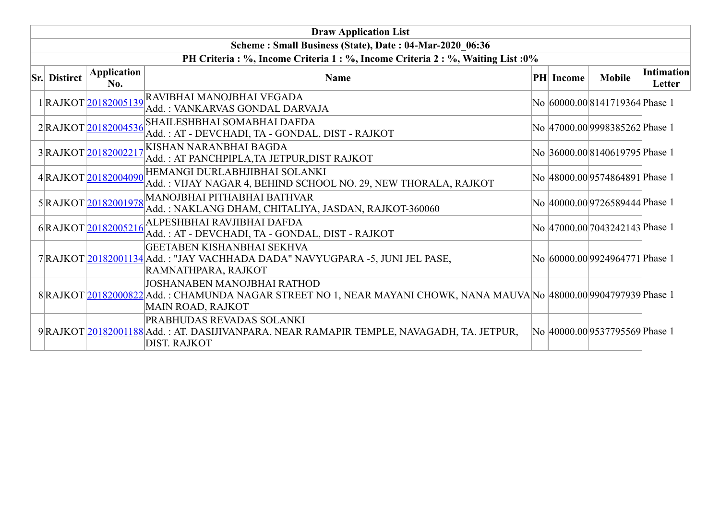| <b>Draw Application List</b>                                                     |                      |                                                                                                                                                                          |  |                  |                                 |                             |  |  |  |  |  |
|----------------------------------------------------------------------------------|----------------------|--------------------------------------------------------------------------------------------------------------------------------------------------------------------------|--|------------------|---------------------------------|-----------------------------|--|--|--|--|--|
| Scheme: Small Business (State), Date: 04-Mar-2020 06:36                          |                      |                                                                                                                                                                          |  |                  |                                 |                             |  |  |  |  |  |
| PH Criteria : %, Income Criteria 1 : %, Income Criteria 2 : %, Waiting List : 0% |                      |                                                                                                                                                                          |  |                  |                                 |                             |  |  |  |  |  |
| <b>Sr.</b> Distirct                                                              | Application<br>No.   | <b>Name</b>                                                                                                                                                              |  | <b>PH</b> Income | <b>Mobile</b>                   | <b>Intimation</b><br>Letter |  |  |  |  |  |
|                                                                                  | 1RAJKOT20182005139   | RAVIBHAI MANOJBHAI VEGADA<br>Add.: VANKARVAS GONDAL DARVAJA                                                                                                              |  |                  | No 60000.00 8141719364 Phase 1  |                             |  |  |  |  |  |
|                                                                                  | 2RAJKOT20182004536   | SHAILESHBHAI SOMABHAI DAFDA<br>Add.: AT - DEVCHADI, TA - GONDAL, DIST - RAJKOT                                                                                           |  |                  | No 47000.00 9998385262 Phase 1  |                             |  |  |  |  |  |
|                                                                                  | 3RAJKOT20182002217   | KISHAN NARANBHAI BAGDA<br>Add.: AT PANCHPIPLA, TA JETPUR, DIST RAJKOT                                                                                                    |  |                  | No 36000.00 8140619795 Phase 1  |                             |  |  |  |  |  |
|                                                                                  | 4RAJKOT20182004090   | HEMANGI DURLABHJIBHAI SOLANKI<br>Add.: VIJAY NAGAR 4, BEHIND SCHOOL NO. 29, NEW THORALA, RAJKOT                                                                          |  |                  | No 48000.00 9574864891 Phase 1  |                             |  |  |  |  |  |
|                                                                                  | 5 RAJKOT 20182001978 | MANOJBHAI PITHABHAI BATHVAR<br>Add.: NAKLANG DHAM, CHITALIYA, JASDAN, RAJKOT-360060                                                                                      |  |                  | No  40000.00 9726589444 Phase 1 |                             |  |  |  |  |  |
|                                                                                  | 6RAJKOT20182005216   | <b>ALPESHBHAI RAVJIBHAI DAFDA</b><br>Add.: AT - DEVCHADI, TA - GONDAL, DIST - RAJKOT                                                                                     |  |                  | No 47000.00 7043242143 Phase 1  |                             |  |  |  |  |  |
|                                                                                  |                      | GEETABEN KISHANBHAI SEKHVA<br>7 RAJKOT 20182001134 Add.: "JAY VACHHADA DADA" NAVYUGPARA -5, JUNI JEL PASE,<br>RAMNATHPARA, RAJKOT                                        |  |                  | No 60000.00 9924964771 Phase 1  |                             |  |  |  |  |  |
|                                                                                  |                      | JOSHANABEN MANOJBHAI RATHOD<br>8 RAJKOT 20182000822 Add.: CHAMUNDA NAGAR STREET NO 1, NEAR MAYANI CHOWK, NANA MAUVA No  48000.00 9904797939 Phase 1<br>MAIN ROAD, RAJKOT |  |                  |                                 |                             |  |  |  |  |  |
|                                                                                  |                      | <b>PRABHUDAS REVADAS SOLANKI</b><br>9 RAJKOT 20182001188 Add.: AT. DASIJIVANPARA, NEAR RAMAPIR TEMPLE, NAVAGADH, TA. JETPUR,<br><b>DIST. RAJKOT</b>                      |  |                  | No 40000.00 9537795569 Phase 1  |                             |  |  |  |  |  |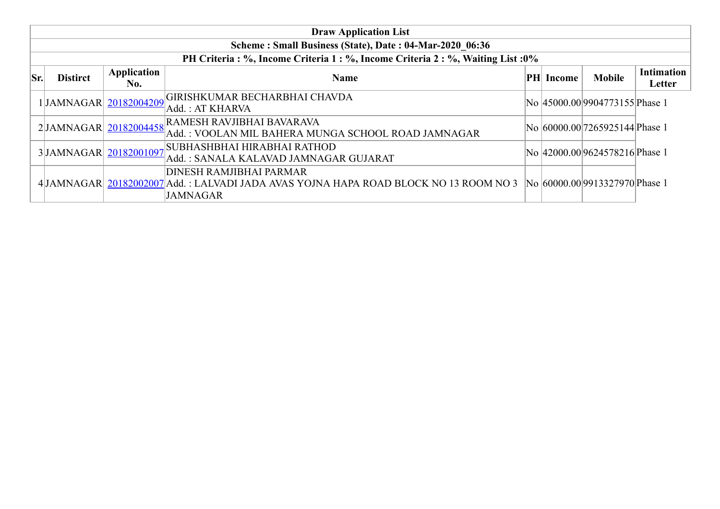|     | <b>Draw Application List</b>                            |                    |                                                                                                                                             |     |        |                                |                             |  |  |  |  |  |
|-----|---------------------------------------------------------|--------------------|---------------------------------------------------------------------------------------------------------------------------------------------|-----|--------|--------------------------------|-----------------------------|--|--|--|--|--|
|     | Scheme: Small Business (State), Date: 04-Mar-2020 06:36 |                    |                                                                                                                                             |     |        |                                |                             |  |  |  |  |  |
|     |                                                         |                    | PH Criteria: %, Income Criteria 1: %, Income Criteria 2: %, Waiting List: 0%                                                                |     |        |                                |                             |  |  |  |  |  |
| Sr. | <b>Distirct</b>                                         | Application<br>No. | <b>Name</b>                                                                                                                                 | PHI | Income | <b>Mobile</b>                  | <b>Intimation</b><br>Letter |  |  |  |  |  |
|     | 1JAMNAGAR 20182004209                                   |                    | GIRISHKUMAR BECHARBHAI CHAVDA<br>Add.: AT KHARVA                                                                                            |     |        | No 45000.00 9904773155 Phase 1 |                             |  |  |  |  |  |
|     | 2JJAMNAGAR 20182004458                                  |                    | RAMESH RAVJIBHAI BAVARAVA<br>Add.: VOOLAN MIL BAHERA MUNGA SCHOOL ROAD JAMNAGAR                                                             |     |        | No 60000.00 7265925144 Phase 1 |                             |  |  |  |  |  |
|     | 3JAMNAGAR 20182001097                                   |                    | SUBHASHBHAI HIRABHAI RATHOD,<br>Add.: SANALA KALAVAD JAMNAGAR GUJARAT                                                                       |     |        | No 42000.00 9624578216 Phase 1 |                             |  |  |  |  |  |
|     |                                                         |                    | <b>DINESH RAMJIBHAI PARMAR</b><br>4 JAMNAGAR  20182002007 Add. : LALVADI JADA AVAS YOJNA HAPA ROAD BLOCK NO 13 ROOM NO 3<br><b>JAMNAGAR</b> |     |        | No 60000.00 9913327970 Phase 1 |                             |  |  |  |  |  |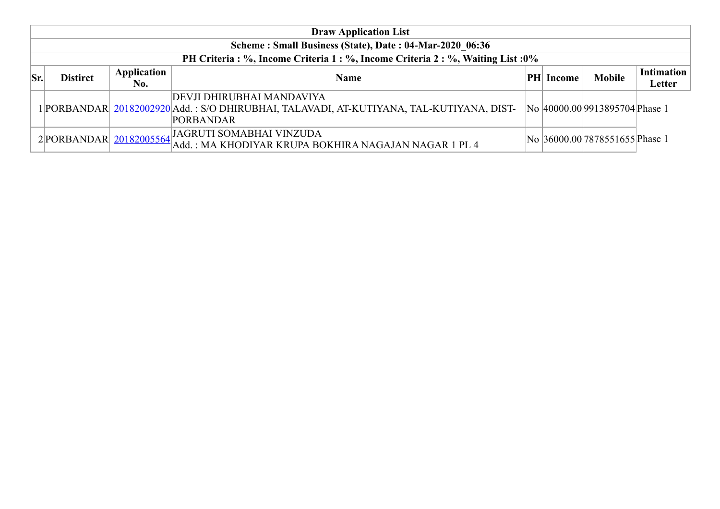|     | <b>Draw Application List</b>                            |                    |                                                                                                                                           |     |        |                                |                             |  |  |  |  |  |
|-----|---------------------------------------------------------|--------------------|-------------------------------------------------------------------------------------------------------------------------------------------|-----|--------|--------------------------------|-----------------------------|--|--|--|--|--|
|     | Scheme: Small Business (State), Date: 04-Mar-2020 06:36 |                    |                                                                                                                                           |     |        |                                |                             |  |  |  |  |  |
|     |                                                         |                    | PH Criteria : %, Income Criteria 1 : %, Income Criteria 2 : %, Waiting List : 0%                                                          |     |        |                                |                             |  |  |  |  |  |
| Sr. | <b>Distirct</b>                                         | Application<br>No. | <b>Name</b>                                                                                                                               | PHI | Income | <b>Mobile</b>                  | <b>Intimation</b><br>Letter |  |  |  |  |  |
|     |                                                         |                    | DEVJI DHIRUBHAI MANDAVIYA<br>1 PORBANDAR  20182002920 Add.: S/O DHIRUBHAI, TALAVADI, AT-KUTIYANA, TAL-KUTIYANA, DIST-<br><b>PORBANDAR</b> |     |        | No 40000.00 9913895704 Phase 1 |                             |  |  |  |  |  |
|     |                                                         |                    | 2 PORBANDAR 20182005564 JAGRUTI SOMABHAI VINZUDA<br>Add.: MA KHODIYAR KRUPA BOKHIRA NAGAJAN NAGAR 1 PL 4                                  |     |        | No 36000.00 7878551655 Phase 1 |                             |  |  |  |  |  |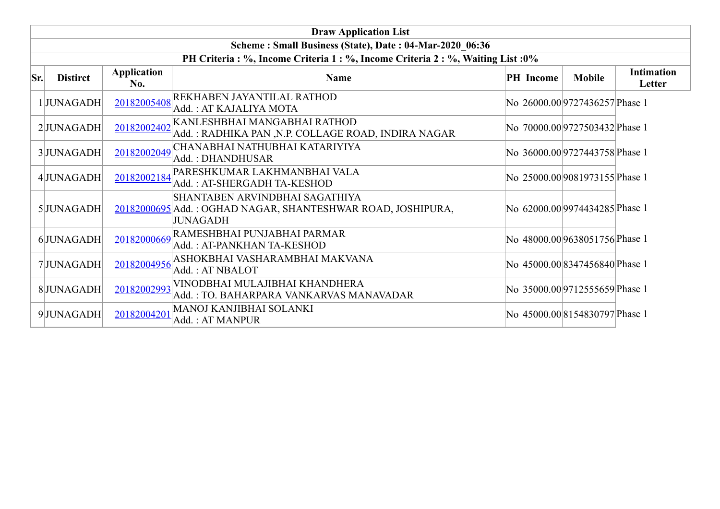|     | <b>Draw Application List</b>                                                                                                                                                                       |             |                                                                                                                  |  |  |                                      |        |  |  |  |  |  |
|-----|----------------------------------------------------------------------------------------------------------------------------------------------------------------------------------------------------|-------------|------------------------------------------------------------------------------------------------------------------|--|--|--------------------------------------|--------|--|--|--|--|--|
|     | Scheme: Small Business (State), Date: 04-Mar-2020 06:36                                                                                                                                            |             |                                                                                                                  |  |  |                                      |        |  |  |  |  |  |
| Sr. | PH Criteria : %, Income Criteria 1 : %, Income Criteria 2 : %, Waiting List : 0%<br><b>Intimation</b><br><b>Application</b><br><b>Mobile</b><br><b>Distirct</b><br><b>PH</b> Income<br><b>Name</b> |             |                                                                                                                  |  |  |                                      |        |  |  |  |  |  |
|     |                                                                                                                                                                                                    | No.         |                                                                                                                  |  |  |                                      | Letter |  |  |  |  |  |
|     | 1JUNAGADH                                                                                                                                                                                          | 20182005408 | <b>REKHABEN JAYANTILAL RATHOD</b><br>Add.: AT KAJALIYA MOTA                                                      |  |  | No 26000.00 9727436257 Phase 1       |        |  |  |  |  |  |
|     | 2JUNAGADH                                                                                                                                                                                          | 20182002402 | KANLESHBHAI MANGABHAI RATHOD<br>Add.: RADHIKA PAN ,N.P. COLLAGE ROAD, INDIRA NAGAR                               |  |  | No  70000.00 9727503432 Phase 1      |        |  |  |  |  |  |
|     | 3JUNAGADH                                                                                                                                                                                          | 20182002049 | CHANABHAI NATHUBHAI KATARIYIYA<br>Add.: DHANDHUSAR                                                               |  |  | No 36000.00 9727443758 Phase 1       |        |  |  |  |  |  |
|     | 4JUNAGADH                                                                                                                                                                                          | 20182002184 | PARESHKUMAR LAKHMANBHAI VALA<br>Add.: AT-SHERGADH TA-KESHOD                                                      |  |  | No 25000.00 9081973155 Phase 1       |        |  |  |  |  |  |
|     | 5JUNAGADH                                                                                                                                                                                          |             | SHANTABEN ARVINDBHAI SAGATHIYA<br>20182000695 Add.: OGHAD NAGAR, SHANTESHWAR ROAD, JOSHIPURA,<br><b>JUNAGADH</b> |  |  | No   62000.00   9974434285   Phase 1 |        |  |  |  |  |  |
|     | 6JUNAGADH                                                                                                                                                                                          | 20182000669 | RAMESHBHAI PUNJABHAI PARMAR<br>Add.: AT-PANKHAN TA-KESHOD                                                        |  |  | No 48000.00 9638051756 Phase 1       |        |  |  |  |  |  |
|     | 7JUNAGADH                                                                                                                                                                                          | 20182004956 | ASHOKBHAI VASHARAMBHAI MAKVANA<br>Add.: AT NBALOT                                                                |  |  | No 45000.00 8347456840 Phase 1       |        |  |  |  |  |  |
|     | 8JUNAGADH                                                                                                                                                                                          | 20182002993 | VINODBHAI MULAJIBHAI KHANDHERA<br>Add.: TO. BAHARPARA VANKARVAS MANAVADAR                                        |  |  | No 35000.00 9712555659 Phase 1       |        |  |  |  |  |  |
|     | 9JUNAGADH                                                                                                                                                                                          | 20182004201 | MANOJ KANJIBHAI SOLANKI<br>Add.: AT MANPUR                                                                       |  |  | No 45000.00 8154830797 Phase 1       |        |  |  |  |  |  |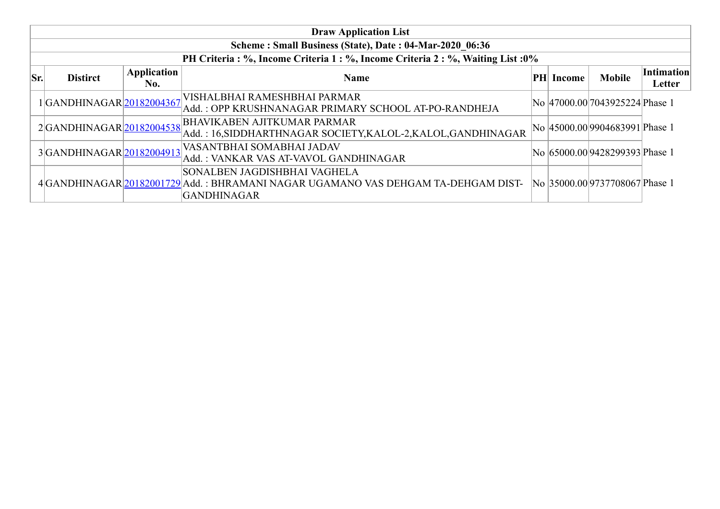|     | <b>Draw Application List</b>                            |                    |                                                                                                                                         |  |                  |                                 |                      |  |  |  |  |  |  |
|-----|---------------------------------------------------------|--------------------|-----------------------------------------------------------------------------------------------------------------------------------------|--|------------------|---------------------------------|----------------------|--|--|--|--|--|--|
|     | Scheme: Small Business (State), Date: 04-Mar-2020 06:36 |                    |                                                                                                                                         |  |                  |                                 |                      |  |  |  |  |  |  |
|     |                                                         |                    | PH Criteria : %, Income Criteria 1 : %, Income Criteria 2 : %, Waiting List : 0%                                                        |  |                  |                                 |                      |  |  |  |  |  |  |
| Sr. | <b>Distirct</b>                                         | Application<br>No. | <b>Name</b>                                                                                                                             |  | <b>PH</b> Income | <b>Mobile</b>                   | Intimation<br>Letter |  |  |  |  |  |  |
|     | 1GANDHINAGAR 20182004367                                |                    | VISHALBHAI RAMESHBHAI PARMAR<br>Add.: OPP KRUSHNANAGAR PRIMARY SCHOOL AT-PO-RANDHEJA                                                    |  |                  | No 47000.00 7043925224 Phase 1  |                      |  |  |  |  |  |  |
|     | 2GANDHINAGAR 20182004538                                |                    | <b>BHAVIKABEN AJITKUMAR PARMAR</b><br>Add.: 16,SIDDHARTHNAGAR SOCIETY,KALOL-2,KALOL,GANDHINAGAR                                         |  |                  | No  45000.00 9904683991 Phase 1 |                      |  |  |  |  |  |  |
|     | 3GANDHINAGAR 20182004913                                |                    | VASANTBHAI SOMABHAI JADAV<br>Add.: VANKAR VAS AT-VAVOL GANDHINAGAR                                                                      |  |                  | No 65000.00 9428299393 Phase 1  |                      |  |  |  |  |  |  |
|     |                                                         |                    | SONALBEN JAGDISHBHAI VAGHELA<br>4 GANDHINAGAR 20182001729 Add.: BHRAMANI NAGAR UGAMANO VAS DEHGAM TA-DEHGAM DIST-<br><b>GANDHINAGAR</b> |  |                  | No 35000.00 9737708067 Phase 1  |                      |  |  |  |  |  |  |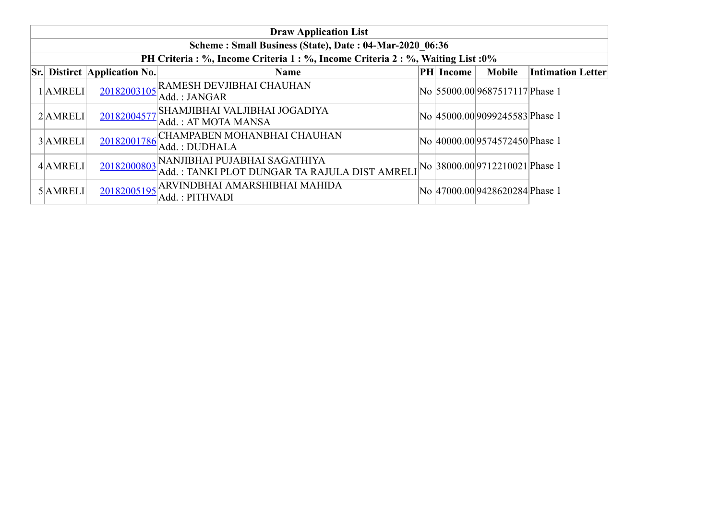| <b>Draw Application List</b>                            |                                     |                                                                                                                  |  |           |                                |                          |  |  |  |  |  |
|---------------------------------------------------------|-------------------------------------|------------------------------------------------------------------------------------------------------------------|--|-----------|--------------------------------|--------------------------|--|--|--|--|--|
| Scheme: Small Business (State), Date: 04-Mar-2020 06:36 |                                     |                                                                                                                  |  |           |                                |                          |  |  |  |  |  |
|                                                         |                                     | PH Criteria : %, Income Criteria 1 : %, Income Criteria 2 : %, Waiting List : 0%                                 |  |           |                                |                          |  |  |  |  |  |
|                                                         | <b>Sr.</b> Distirct Application No. | Name                                                                                                             |  | PH Income | <b>Mobile</b>                  | <b>Intimation Letter</b> |  |  |  |  |  |
| 1 AMRELI                                                | 20182003105                         | <b>RAMESH DEVJIBHAI CHAUHAN</b><br>Add.: JANGAR                                                                  |  |           | No 55000.00 9687517117 Phase 1 |                          |  |  |  |  |  |
| 2AMRELI                                                 | 20182004577                         | SHAMJIBHAI VALJIBHAI JOGADIYA<br>Add.: AT MOTA MANSA                                                             |  |           | No 45000.00 9099245583 Phase 1 |                          |  |  |  |  |  |
| 3 AMRELI                                                | 20182001786                         | CHAMPABEN MOHANBHAI CHAUHAN<br>Add.: DUDHALA                                                                     |  |           | No 40000.00 9574572450 Phase 1 |                          |  |  |  |  |  |
| 4 AMRELI                                                | 20182000803                         | NANJIBHAI PUJABHAI SAGATHIYA<br>Add.: TANKI PLOT DUNGAR TA RAJULA DIST AMRELI $ No 38000.00 9712210021 P$ hase 1 |  |           |                                |                          |  |  |  |  |  |
| 5 AMRELI                                                | 20182005195                         | ARVINDBHAI AMARSHIBHAI MAHIDA<br>Add. : PITHVADI                                                                 |  |           | No 47000.00 9428620284 Phase 1 |                          |  |  |  |  |  |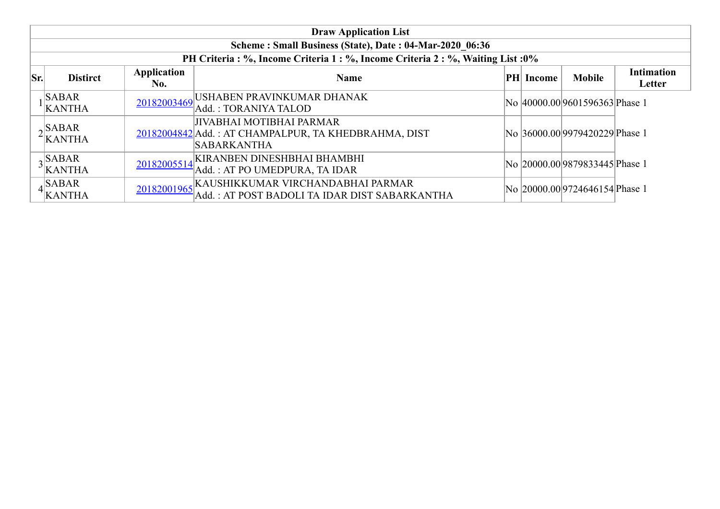|      | <b>Draw Application List</b>                            |                           |                                                                                                               |  |                  |                                |                             |  |  |  |  |  |
|------|---------------------------------------------------------|---------------------------|---------------------------------------------------------------------------------------------------------------|--|------------------|--------------------------------|-----------------------------|--|--|--|--|--|
|      | Scheme: Small Business (State), Date: 04-Mar-2020 06:36 |                           |                                                                                                               |  |                  |                                |                             |  |  |  |  |  |
|      |                                                         |                           | PH Criteria : %, Income Criteria 1 : %, Income Criteria 2 : %, Waiting List : 0%                              |  |                  |                                |                             |  |  |  |  |  |
| lSr. | <b>Distirct</b>                                         | <b>Application</b><br>No. | <b>Name</b>                                                                                                   |  | <b>PH</b> Income | <b>Mobile</b>                  | <b>Intimation</b><br>Letter |  |  |  |  |  |
|      | <b>SABAR</b><br><b>KANTHA</b>                           | 20182003469               | USHABEN PRAVINKUMAR DHANAK<br>Add.: TORANIYA TALOD                                                            |  |                  | No 40000.00 9601596363 Phase 1 |                             |  |  |  |  |  |
|      | $\gamma$ SABAR<br><sup>2</sup>  KANTHA                  |                           | <b>JIVABHAI MOTIBHAI PARMAR</b><br>20182004842 Add.: AT CHAMPALPUR, TA KHEDBRAHMA, DIST<br><b>SABARKANTHA</b> |  |                  | No 36000.00 9979420229 Phase 1 |                             |  |  |  |  |  |
|      | $\lambda$ SABAR<br>'KANTHA                              | 20182005514               | KIRANBEN DINESHBHAI BHAMBHI<br>Add.: AT PO UMEDPURA, TA IDAR                                                  |  |                  | No 20000.00 9879833445 Phase 1 |                             |  |  |  |  |  |
|      | $\overline{\text{SABAR}}$<br>$4$ KANTHA                 | 20182001965               | KAUSHIKKUMAR VIRCHANDABHAI PARMAR<br>Add.: AT POST BADOLI TA IDAR DIST SABARKANTHA                            |  |                  | No 20000.00 9724646154 Phase 1 |                             |  |  |  |  |  |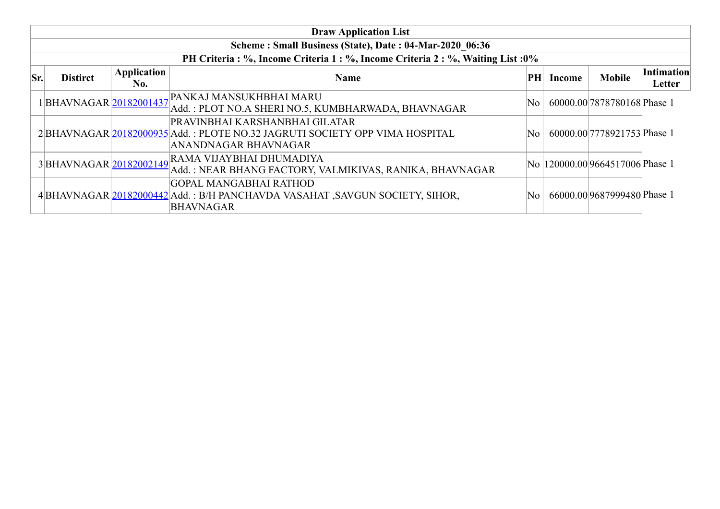|     | <b>Draw Application List</b>                                                     |                    |                                                                                                                                                                  |     |        |                                  |                             |  |  |  |  |  |  |
|-----|----------------------------------------------------------------------------------|--------------------|------------------------------------------------------------------------------------------------------------------------------------------------------------------|-----|--------|----------------------------------|-----------------------------|--|--|--|--|--|--|
|     | Scheme: Small Business (State), Date: 04-Mar-2020 06:36                          |                    |                                                                                                                                                                  |     |        |                                  |                             |  |  |  |  |  |  |
|     | PH Criteria : %, Income Criteria 1 : %, Income Criteria 2 : %, Waiting List : 0% |                    |                                                                                                                                                                  |     |        |                                  |                             |  |  |  |  |  |  |
| Sr. | <b>Distirct</b>                                                                  | Application<br>No. | <b>Name</b>                                                                                                                                                      | PН  | Income | <b>Mobile</b>                    | <b>Intimation</b><br>Letter |  |  |  |  |  |  |
|     |                                                                                  |                    | 1 BHAVNAGAR 20182001437 PANKAJ MANSUKHBHAI MARU<br>Add. : PLOT NO.A SHERI NO.5, KUMBHARWADA, BHAVNAGAR                                                           | No. |        | 60000.00 7878780168 Phase 1      |                             |  |  |  |  |  |  |
|     |                                                                                  |                    | PRAVINBHAI KARSHANBHAI GILATAR<br>2 BHAVNAGAR 20182000935 Add.: PLOTE NO.32 JAGRUTI SOCIETY OPP VIMA HOSPITAL<br><b>ANANDNAGAR BHAVNAGAR</b>                     | No  |        | 60000.00 7778921753 Phase 1      |                             |  |  |  |  |  |  |
|     |                                                                                  |                    | $3\Big \text{BHAVNAGAR}\Big \underline{\text{20182002149}}\Big \text{RAMA VIJAYBHAI DHUMADIYA}\Big $<br>Add. : NEAR BHANG FACTORY, VALMIKIVAS, RANIKA, BHAVNAGAR |     |        | No  120000.00 9664517006 Phase 1 |                             |  |  |  |  |  |  |
|     |                                                                                  |                    | GOPAL MANGABHAI RATHOD<br>4 BHAVNAGAR 20182000442 Add. : B/H PANCHAVDA VASAHAT, SAVGUN SOCIETY, SIHOR,<br><b>BHAVNAGAR</b>                                       | No  |        | 66000.00 9687999480 Phase 1      |                             |  |  |  |  |  |  |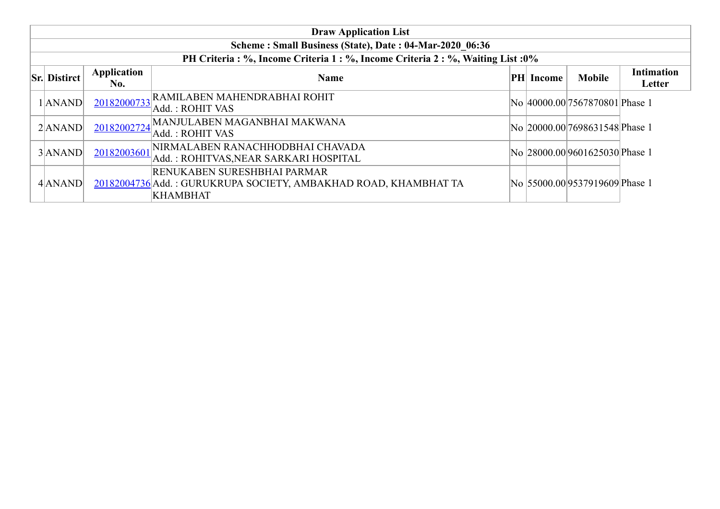| <b>Draw Application List</b>                            |                     |                    |                                                                                                                   |    |        |                                 |                             |  |  |  |  |
|---------------------------------------------------------|---------------------|--------------------|-------------------------------------------------------------------------------------------------------------------|----|--------|---------------------------------|-----------------------------|--|--|--|--|
| Scheme: Small Business (State), Date: 04-Mar-2020 06:36 |                     |                    |                                                                                                                   |    |        |                                 |                             |  |  |  |  |
|                                                         |                     |                    | PH Criteria : %, Income Criteria 1 : %, Income Criteria 2 : %, Waiting List : 0%                                  |    |        |                                 |                             |  |  |  |  |
|                                                         | <b>Sr. Distirct</b> | Application<br>No. | <b>Name</b>                                                                                                       | PH | Income | <b>Mobile</b>                   | <b>Intimation</b><br>Letter |  |  |  |  |
|                                                         | $1$  ANAND          | 20182000733        | RAMILABEN MAHENDRABHAI ROHIT<br>Add.: ROHIT VAS                                                                   |    |        | No  40000.00 7567870801 Phase 1 |                             |  |  |  |  |
|                                                         | $2$ $ ANAND $       | 20182002724        | MANJULABEN MAGANBHAI MAKWANA<br> Add. : ROHIT VAS                                                                 |    |        | No 20000.00 7698631548 Phase 1  |                             |  |  |  |  |
|                                                         | 3ANAND              | 20182003601        | NIRMALABEN RANACHHODBHAI CHAVADA<br>Add.: ROHITVAS, NEAR SARKARI HOSPITAL                                         |    |        | No 28000.00 9601625030 Phase 1  |                             |  |  |  |  |
|                                                         | 4 ANAND             |                    | RENUKABEN SURESHBHAI PARMAR<br>20182004736 Add.: GURUKRUPA SOCIETY, AMBAKHAD ROAD, KHAMBHAT TA<br><b>KHAMBHAT</b> |    |        | No 55000.00 9537919609 Phase 1  |                             |  |  |  |  |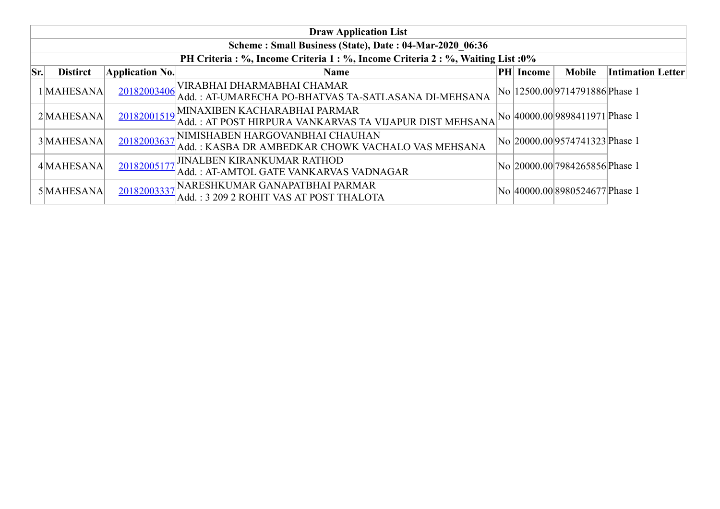|     | <b>Draw Application List</b>                            |                        |                                                                                         |  |           |                                 |                          |  |  |  |  |  |
|-----|---------------------------------------------------------|------------------------|-----------------------------------------------------------------------------------------|--|-----------|---------------------------------|--------------------------|--|--|--|--|--|
|     | Scheme: Small Business (State), Date: 04-Mar-2020 06:36 |                        |                                                                                         |  |           |                                 |                          |  |  |  |  |  |
|     |                                                         |                        | PH Criteria : %, Income Criteria 1 : %, Income Criteria 2 : %, Waiting List : 0%        |  |           |                                 |                          |  |  |  |  |  |
| Sr. | <b>Distirct</b>                                         | <b>Application No.</b> | <b>Name</b>                                                                             |  | PH Income | <b>Mobile</b>                   | <b>Intimation Letter</b> |  |  |  |  |  |
|     | 1 MAHESANA                                              | 20182003406            | VIRABHAI DHARMABHAI CHAMAR<br>Add.: AT-UMARECHA PO-BHATVAS TA-SATLASANA DI-MEHSANA      |  |           | No  12500.00 9714791886 Phase 1 |                          |  |  |  |  |  |
|     | 2MAHESANA                                               | 20182001519            | MINAXIBEN KACHARABHAI PARMAR<br>Add.: AT POST HIRPURA VANKARVAS TA VIJAPUR DIST MEHSANA |  |           | No 40000.00 9898411971 Phase 1  |                          |  |  |  |  |  |
|     | 3 MAHESANA                                              | 20182003637            | INIMISHABEN HARGOVANBHAI CHAUHAN<br>Add.: KASBA DR AMBEDKAR CHOWK VACHALO VAS MEHSANA   |  |           | No 20000.00 9574741323 Phase 1  |                          |  |  |  |  |  |
|     | 4 MAHESANA                                              | 20182005177            | <b>JINALBEN KIRANKUMAR RATHOD</b><br>Add.: AT-AMTOL GATE VANKARVAS VADNAGAR             |  |           | No 20000.00 7984265856 Phase 1  |                          |  |  |  |  |  |
|     | 5 MAHESANA                                              | 20182003337            | NARESHKUMAR GANAPATBHAI PARMAR,<br>Add.: 3 209 2 ROHIT VAS AT POST THALOTA              |  |           | No 40000.00 8980524677 Phase 1  |                          |  |  |  |  |  |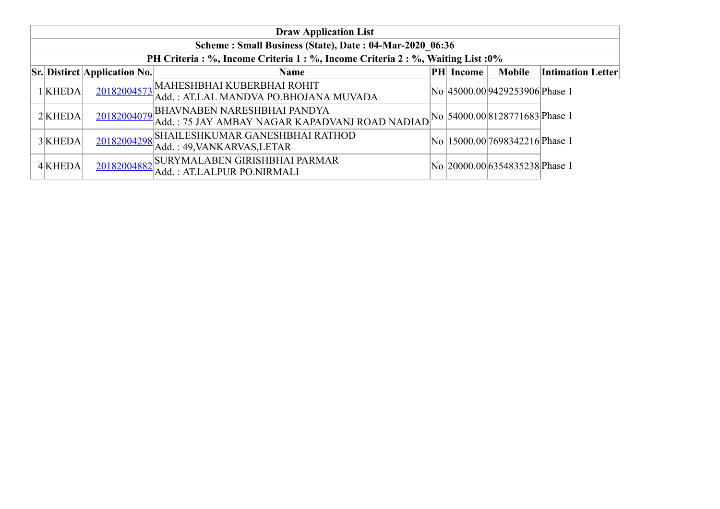| <b>Draw Application List</b>                            |                                     |                                                                                      |  |                  |                                      |                          |  |  |  |  |  |
|---------------------------------------------------------|-------------------------------------|--------------------------------------------------------------------------------------|--|------------------|--------------------------------------|--------------------------|--|--|--|--|--|
| Scheme: Small Business (State), Date: 04-Mar-2020 06:36 |                                     |                                                                                      |  |                  |                                      |                          |  |  |  |  |  |
|                                                         |                                     | PH Criteria : %, Income Criteria 1 : %, Income Criteria 2 : %, Waiting List : 0%     |  |                  |                                      |                          |  |  |  |  |  |
|                                                         | <b>Sr. Distirct Application No.</b> | <b>Name</b>                                                                          |  | <b>PH</b> Income | <b>Mobile</b>                        | <b>Intimation Letter</b> |  |  |  |  |  |
| 1KHEDA                                                  |                                     | 20182004573 MAHESHBHAI KUBERBHAI ROHIT<br>Add.: AT.LAL MANDVA PO.BHOJANA MUVADA      |  |                  | No 45000.00 9429253906 Phase 1       |                          |  |  |  |  |  |
| $2$ KHEDA                                               | 20182004079                         | <b>BHAVNABEN NARESHBHAI PANDYA</b><br>Add.: 75 JAY AMBAY NAGAR KAPADVANJ ROAD NADIAD |  |                  | No   54000.00   8128771683   Phase 1 |                          |  |  |  |  |  |
| 3KHEDA                                                  |                                     | 20182004298 SHAILESHKUMAR GANESHBHAI RATHOD<br>Add.: 49, VANKARVAS, LETAR            |  |                  | No  15000.00 7698342216 Phase 1      |                          |  |  |  |  |  |
| 4 KHEDA                                                 |                                     | 20182004882 SURYMALABEN GIRISHBHAI PARMAR<br>Add.: AT.LALPUR PO.NIRMALI              |  |                  | No 20000.00 6354835238 Phase 1       |                          |  |  |  |  |  |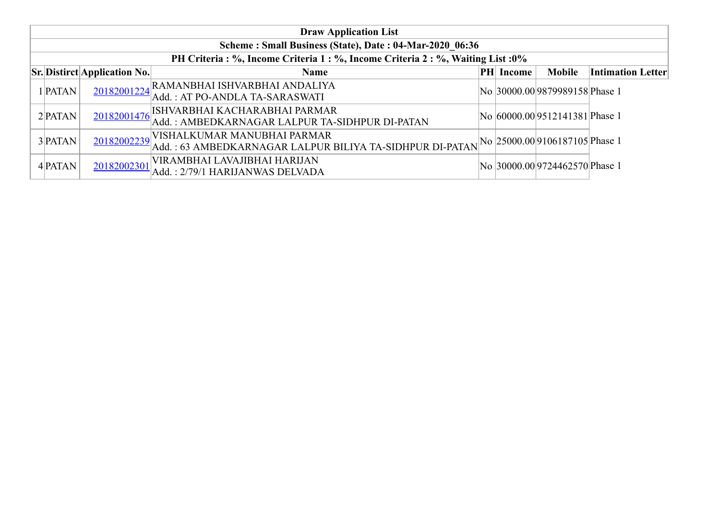| <b>Draw Application List</b>                            |                                     |                                                                                                          |    |        |                                |                          |  |  |  |  |  |
|---------------------------------------------------------|-------------------------------------|----------------------------------------------------------------------------------------------------------|----|--------|--------------------------------|--------------------------|--|--|--|--|--|
| Scheme: Small Business (State), Date: 04-Mar-2020 06:36 |                                     |                                                                                                          |    |        |                                |                          |  |  |  |  |  |
|                                                         |                                     | PH Criteria : %, Income Criteria 1 : %, Income Criteria 2 : %, Waiting List : 0%                         |    |        |                                |                          |  |  |  |  |  |
|                                                         | <b>Sr.</b> Distirct Application No. | <b>Name</b>                                                                                              | PH | Income | <b>Mobile</b>                  | <b>Intimation Letter</b> |  |  |  |  |  |
| 1 PATAN                                                 |                                     | 20182001224 RAMANBHAI ISHVARBHAI ANDALIYA<br>Add.: AT PO-ANDLA TA-SARASWATI                              |    |        | No 30000.00 9879989158 Phase 1 |                          |  |  |  |  |  |
| $2$ <b>PATAN</b>                                        | 20182001476                         | ISHVARBHAI KACHARABHAI PARMAR<br>Add.: AMBEDKARNAGAR LALPUR TA-SIDHPUR DI-PATAN                          |    |        | No 60000.00 9512141381 Phase 1 |                          |  |  |  |  |  |
| 3 PATAN                                                 | 20182002239                         | VISHALKUMAR MANUBHAI PARMAR<br>$\vert$ Add. : 63 AMBEDKARNAGAR LALPUR BILIYA TA-SIDHPUR DI-PATAN $\vert$ |    |        | No 25000.00 9106187105 Phase 1 |                          |  |  |  |  |  |
| 4 PATAN                                                 | 20182002301                         | VIRAMBHAI LAVAJIBHAI HARIJAN<br>Add.: 2/79/1 HARIJANWAS DELVADA                                          |    |        | No 30000.00 9724462570 Phase 1 |                          |  |  |  |  |  |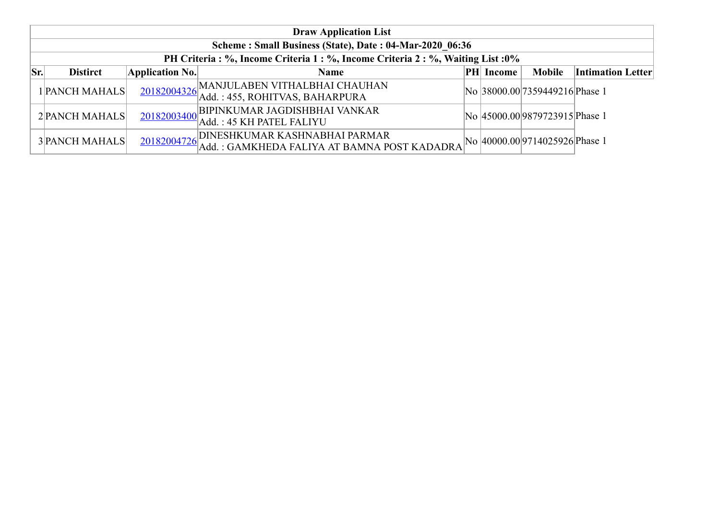|     | <b>Draw Application List</b>                                                     |                        |                                                                              |  |                  |                                |                          |  |  |  |
|-----|----------------------------------------------------------------------------------|------------------------|------------------------------------------------------------------------------|--|------------------|--------------------------------|--------------------------|--|--|--|
|     | Scheme: Small Business (State), Date: 04-Mar-2020 06:36                          |                        |                                                                              |  |                  |                                |                          |  |  |  |
|     | PH Criteria : %, Income Criteria 1 : %, Income Criteria 2 : %, Waiting List : 0% |                        |                                                                              |  |                  |                                |                          |  |  |  |
| Sr. | <b>Distirct</b>                                                                  | <b>Application No.</b> | <b>Name</b>                                                                  |  | <b>PH</b> Income | <b>Mobile</b>                  | <b>Intimation Letter</b> |  |  |  |
|     | 1 PANCH MAHALS                                                                   |                        | 20182004326 MANJULABEN VITHALBHAI CHAUHAN<br>Add. : 455, ROHITVAS, BAHARPURA |  |                  | No 38000.00 7359449216 Phase 1 |                          |  |  |  |
|     | 2 PANCH MAHALS                                                                   |                        | 20182003400 BIPINKUMAR JAGDISHBHAI VANKAR<br>Add.: 45 KH PATEL FALIYU        |  |                  | No 45000.00 9879723915 Phase 1 |                          |  |  |  |
|     | <b>3 PANCH MAHALS</b>                                                            | 20182004726            | DINESHKUMAR KASHNABHAI PARMAR<br>Add.: GAMKHEDA FALIYA AT BAMNA POST KADADRA |  |                  | No 40000.00 9714025926 Phase 1 |                          |  |  |  |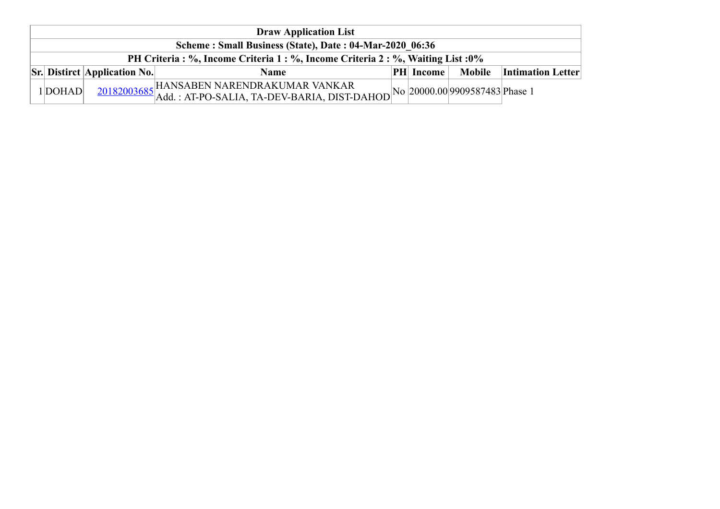| <b>Draw Application List</b>                                                     |         |                                     |                                                                                                                                                             |  |               |               |                          |  |  |  |
|----------------------------------------------------------------------------------|---------|-------------------------------------|-------------------------------------------------------------------------------------------------------------------------------------------------------------|--|---------------|---------------|--------------------------|--|--|--|
| Scheme: Small Business (State), Date: 04-Mar-2020 06:36                          |         |                                     |                                                                                                                                                             |  |               |               |                          |  |  |  |
| PH Criteria : %, Income Criteria 1 : %, Income Criteria 2 : %, Waiting List : 0% |         |                                     |                                                                                                                                                             |  |               |               |                          |  |  |  |
|                                                                                  |         | <b>Sr.</b> Distirct Application No. | <b>Name</b>                                                                                                                                                 |  | $ PH $ Income | <b>Mobile</b> | <b>Intimation Letter</b> |  |  |  |
|                                                                                  | 1 DOHAD |                                     | $\frac{20182003685}{\text{Add.}: \text{AT-PO-SALIA}, \text{TA-DEV-BARIA}, \text{DIST-DAHOD}}\text{No} \Big  20000.00 \Big  9909587483 \Big  \text{Phase 1}$ |  |               |               |                          |  |  |  |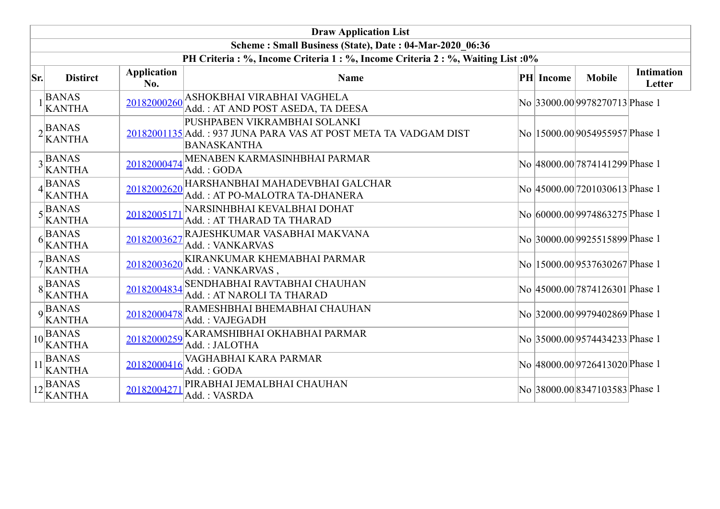|     | <b>Draw Application List</b>                                             |                           |                                                                                                                       |  |                  |                                 |                             |  |  |  |
|-----|--------------------------------------------------------------------------|---------------------------|-----------------------------------------------------------------------------------------------------------------------|--|------------------|---------------------------------|-----------------------------|--|--|--|
|     | Scheme: Small Business (State), Date: 04-Mar-2020 06:36                  |                           |                                                                                                                       |  |                  |                                 |                             |  |  |  |
|     |                                                                          |                           | PH Criteria : %, Income Criteria 1 : %, Income Criteria 2 : %, Waiting List : 0%                                      |  |                  |                                 |                             |  |  |  |
| Sr. | <b>Distirct</b>                                                          | <b>Application</b><br>No. | <b>Name</b>                                                                                                           |  | <b>PH</b> Income | <b>Mobile</b>                   | <b>Intimation</b><br>Letter |  |  |  |
|     | $1$ $\begin{array}{c} \n\text{BANAS} \\ \text{KANTHA}\n\end{array}$      | 20182000260               | ASHOKBHAI VIRABHAI VAGHELA<br>Add.: AT AND POST ASEDA, TA DEESA                                                       |  |                  | No 33000.00 9978270713 Phase 1  |                             |  |  |  |
|     | $2$ <b>BANAS</b><br>KANTHA                                               |                           | PUSHPABEN VIKRAMBHAI SOLANKI<br>20182001135 Add.: 937 JUNA PARA VAS AT POST META TA VADGAM DIST<br><b>BANASKANTHA</b> |  |                  | No  15000.00 9054955957 Phase 1 |                             |  |  |  |
|     | $3$ <sup>BANAS</sup><br>KANTHA                                           | 20182000474               | MENABEN KARMASINHBHAI PARMAR<br>Add.: GODA                                                                            |  |                  | No 48000.00 7874141299 Phase 1  |                             |  |  |  |
|     | $4\begin{array}{l}\n\stackrel{\text{BANAS}}{\text{KANTHA}}\n\end{array}$ | 20182002620               | HARSHANBHAI MAHADEVBHAI GALCHAR<br>Add.: AT PO-MALOTRA TA-DHANERA                                                     |  |                  | No 45000.00 7201030613 Phase 1  |                             |  |  |  |
|     | $5\frac{\text{BANAS}}{\text{KANTHA}}$                                    | 20182005171               | NARSINHBHAI KEVALBHAI DOHAT<br>Add.: AT THARAD TA THARAD                                                              |  |                  | No 60000.00 9974863275 Phase 1  |                             |  |  |  |
|     | $6\begin{array}{l}\n\stackrel{\text{BANAS}}{\text{KANTHA}}\n\end{array}$ | 20182003627               | RAJESHKUMAR VASABHAI MAKVANA<br>Add.: VANKARVAS                                                                       |  |                  | No 30000.00 9925515899 Phase 1  |                             |  |  |  |
|     | $7\frac{BANAS}{KANTHA}$                                                  | 20182003620               | KIRANKUMAR KHEMABHAI PARMAR<br>Add.: VANKARVAS,                                                                       |  |                  | No  15000.00 9537630267 Phase 1 |                             |  |  |  |
|     | $8\overline{BANAS}$<br><b>KANTHA</b>                                     | 20182004834               | <b>SENDHABHAI RAVTABHAI CHAUHAN</b><br>Add.: AT NAROLI TA THARAD                                                      |  |                  | No 45000.00 7874126301 Phase 1  |                             |  |  |  |
|     | $9$ <sup>BANAS</sup><br>KANTHA                                           | 20182000478               | RAMESHBHAI BHEMABHAI CHAUHAN<br>Add.: VAJEGADH                                                                        |  |                  | No 32000.00 9979402869 Phase 1  |                             |  |  |  |
|     | $10$ BANAS<br>KANTHA                                                     | 20182000259               | KARAMSHIBHAI OKHABHAI PARMAR<br>Add.: JALOTHA                                                                         |  |                  | No 35000.00 9574434233 Phase 1  |                             |  |  |  |
| 11  | <b>BANAS</b><br><b>KANTHA</b>                                            | 20182000416               | VAGHABHAI KARA PARMAR<br>Add.: GODA                                                                                   |  |                  | No 48000.00 9726413020 Phase 1  |                             |  |  |  |
|     | $12\overline{\text{BANAS}}$<br><b>KANTHA</b>                             | 20182004271               | PIRABHAI JEMALBHAI CHAUHAN<br>Add.: VASRDA                                                                            |  |                  | No 38000.00 8347103583 Phase 1  |                             |  |  |  |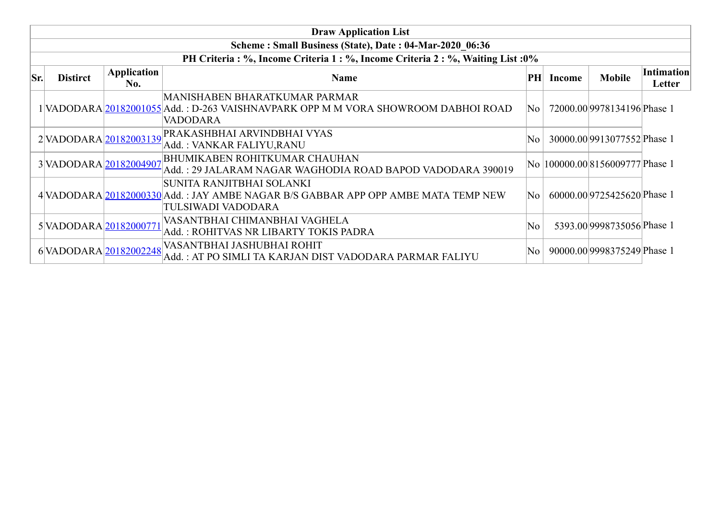|     | <b>Draw Application List</b>                                                     |                           |                                                                                                                                        |           |        |                                  |                      |  |  |  |
|-----|----------------------------------------------------------------------------------|---------------------------|----------------------------------------------------------------------------------------------------------------------------------------|-----------|--------|----------------------------------|----------------------|--|--|--|
|     | Scheme: Small Business (State), Date: 04-Mar-2020 06:36                          |                           |                                                                                                                                        |           |        |                                  |                      |  |  |  |
|     | PH Criteria : %, Income Criteria 1 : %, Income Criteria 2 : %, Waiting List : 0% |                           |                                                                                                                                        |           |        |                                  |                      |  |  |  |
| Sr. | <b>Distirct</b>                                                                  | <b>Application</b><br>No. | <b>Name</b>                                                                                                                            | <b>PH</b> | Income | <b>Mobile</b>                    | Intimation<br>Letter |  |  |  |
|     |                                                                                  |                           | MANISHABEN BHARATKUMAR PARMAR<br>1 VADODARA 20182001055 Add. : D-263 VAISHNAVPARK OPP M M VORA SHOWROOM DABHOI ROAD<br><b>VADODARA</b> | No        |        | 72000.00 9978134196 Phase 1      |                      |  |  |  |
|     |                                                                                  |                           | 2 VADODARA 20182003139 PRAKASHBHAI ARVINDBHAI VYAS<br>Add.: VANKAR FALIYU,RANU                                                         | No        |        | 30000.00 9913077552 Phase 1      |                      |  |  |  |
|     |                                                                                  |                           | 3 VADODARA 20182004907 BHUMIKABEN ROHITKUMAR CHAUHAN<br>Add.: 29 JALARAM NAGAR WAGHODIA ROAD BAPOD VADODARA 390019                     |           |        | No  100000.00 8156009777 Phase 1 |                      |  |  |  |
|     |                                                                                  |                           | SUNITA RANJITBHAI SOLANKI<br>4 VADODARA 20182000330 Add.: JAY AMBE NAGAR B/S GABBAR APP OPP AMBE MATA TEMP NEW<br>TULSIWADI VADODARA   | No        |        | 60000.00 9725425620 Phase 1      |                      |  |  |  |
|     | 5 VADODARA 20182000771                                                           |                           | VASANTBHAI CHIMANBHAI VAGHELA<br>Add.: ROHITVAS NR LIBARTY TOKIS PADRA                                                                 | No        |        | 5393.00 9998735056 Phase 1       |                      |  |  |  |
|     |                                                                                  |                           | 6 VADODARA 20182002248 VASANTBHAI JASHUBHAI ROHIT<br>Add. : AT PO SIMLI TA KARJAN DIST VADODARA PARMAR FALIYU                          | No        |        | 90000.00 9998375249 Phase 1      |                      |  |  |  |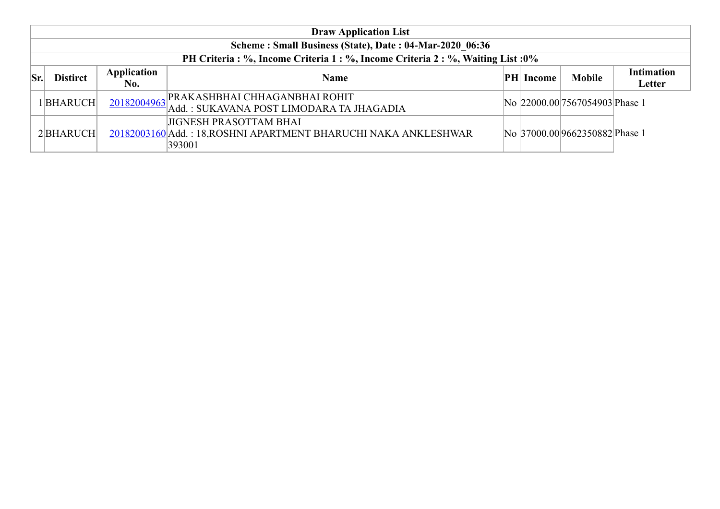|                 | <b>Draw Application List</b>                                                 |                    |                                                                                                            |  |                  |                                 |                             |  |  |  |
|-----------------|------------------------------------------------------------------------------|--------------------|------------------------------------------------------------------------------------------------------------|--|------------------|---------------------------------|-----------------------------|--|--|--|
|                 | Scheme: Small Business (State), Date: 04-Mar-2020 06:36                      |                    |                                                                                                            |  |                  |                                 |                             |  |  |  |
|                 | PH Criteria: %, Income Criteria 1: %, Income Criteria 2: %, Waiting List: 0% |                    |                                                                                                            |  |                  |                                 |                             |  |  |  |
| $\mathbf{S}$ r. | <b>Distirct</b>                                                              | Application<br>No. | <b>Name</b>                                                                                                |  | <b>PH Income</b> | <b>Mobile</b>                   | <b>Intimation</b><br>Letter |  |  |  |
|                 | 1 BHARUCH                                                                    | 20182004963        | <b>PRAKASHBHAI CHHAGANBHAI ROHIT</b><br>Add.: SUKAVANA POST LIMODARA TA JHAGADIA                           |  |                  | No 22000.00 7567054903 Phase 1  |                             |  |  |  |
|                 | 2BHARUCH                                                                     |                    | <b>JIGNESH PRASOTTAM BHAI</b><br>20182003160 Add.: 18, ROSHNI APARTMENT BHARUCHI NAKA ANKLESHWAR<br>393001 |  |                  | No  37000.00 9662350882 Phase 1 |                             |  |  |  |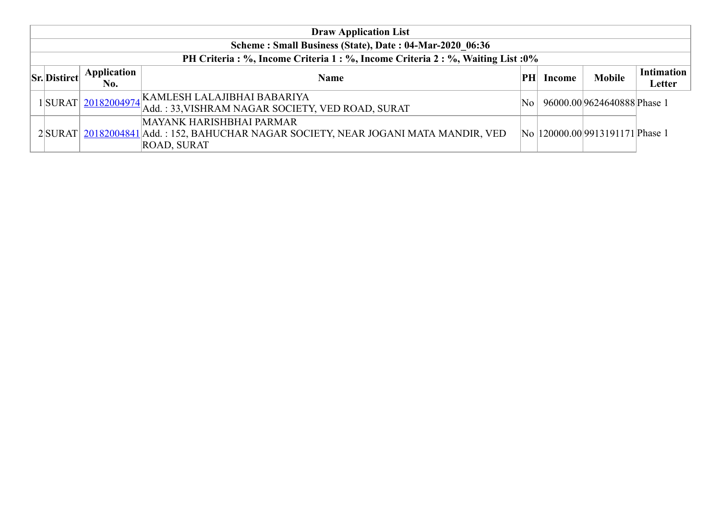| <b>Draw Application List</b>                                                 |                    |                                                                                                                                       |          |        |                                  |                             |  |  |  |  |
|------------------------------------------------------------------------------|--------------------|---------------------------------------------------------------------------------------------------------------------------------------|----------|--------|----------------------------------|-----------------------------|--|--|--|--|
| Scheme: Small Business (State), Date: 04-Mar-2020 06:36                      |                    |                                                                                                                                       |          |        |                                  |                             |  |  |  |  |
| PH Criteria: %, Income Criteria 1: %, Income Criteria 2: %, Waiting List: 0% |                    |                                                                                                                                       |          |        |                                  |                             |  |  |  |  |
| <b>Sr.</b> Distirct                                                          | Application<br>No. | <b>Name</b>                                                                                                                           | PH       | Income | <b>Mobile</b>                    | <b>Intimation</b><br>Letter |  |  |  |  |
|                                                                              | 1SURAT 20182004974 | KAMLESH LALAJIBHAI BABARIYA<br>Add.: 33, VISHRAM NAGAR SOCIETY, VED ROAD, SURAT                                                       | $\rm No$ |        | 96000.00 9624640888 Phase 1      |                             |  |  |  |  |
|                                                                              |                    | MAYANK HARISHBHAI PARMAR<br>2 SURAT 20182004841 Add.: 152, BAHUCHAR NAGAR SOCIETY, NEAR JOGANI MATA MANDIR, VED<br><b>ROAD, SURAT</b> |          |        | No  120000.00 9913191171 Phase 1 |                             |  |  |  |  |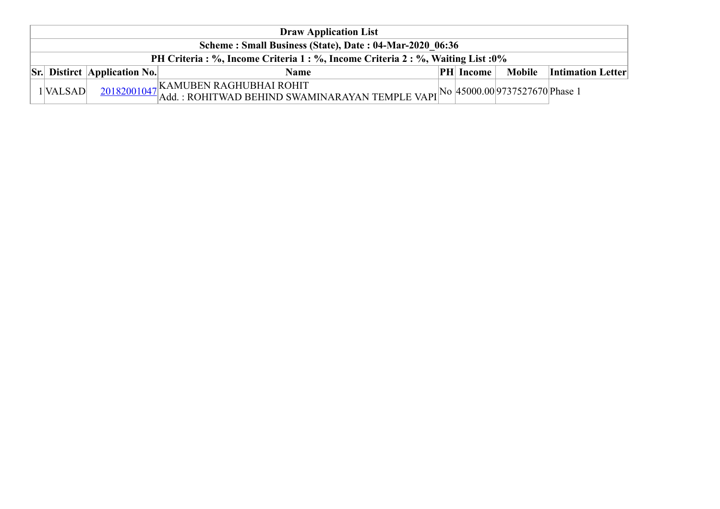| <b>Draw Application List</b>                                                     |                                     |                                                                                                                                   |  |                  |  |                                 |  |  |  |
|----------------------------------------------------------------------------------|-------------------------------------|-----------------------------------------------------------------------------------------------------------------------------------|--|------------------|--|---------------------------------|--|--|--|
| Scheme: Small Business (State), Date: 04-Mar-2020 06:36                          |                                     |                                                                                                                                   |  |                  |  |                                 |  |  |  |
| PH Criteria : %, Income Criteria 1 : %, Income Criteria 2 : %, Waiting List : 0% |                                     |                                                                                                                                   |  |                  |  |                                 |  |  |  |
|                                                                                  | <b>Sr.</b> Distirct Application No. | <b>Name</b>                                                                                                                       |  | <b>PH</b> Income |  | <b>Mobile</b> Intimation Letter |  |  |  |
| $1$ VALSAD                                                                       |                                     | 20182001047 KAMUBEN RAGHUBHAI ROHIT<br>20182001047 Add. : ROHITWAD BEHIND SWAMINARAYAN TEMPLE VAPI No 45000.00 9737527670 Phase 1 |  |                  |  |                                 |  |  |  |